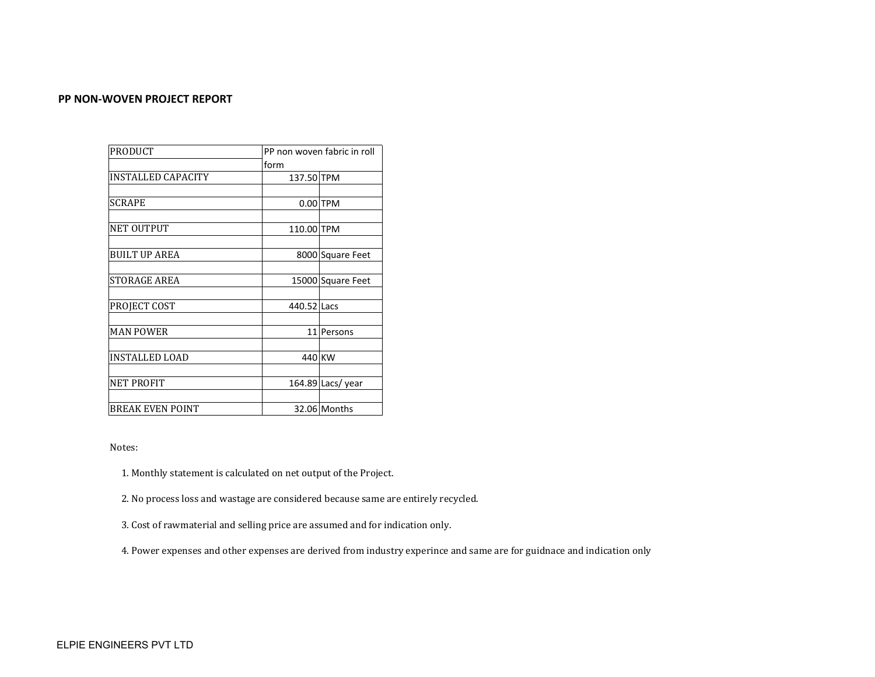### **PP NON-WOVEN PROJECT REPORT**

| <b>PRODUCT</b>          |             | PP non woven fabric in roll |  |  |
|-------------------------|-------------|-----------------------------|--|--|
|                         | form        |                             |  |  |
| INSTALLED CAPACITY      | 137.50 TPM  |                             |  |  |
|                         |             |                             |  |  |
| <b>SCRAPE</b>           |             | $0.00$ TPM                  |  |  |
|                         |             |                             |  |  |
| <b>NET OUTPUT</b>       | 110.00 TPM  |                             |  |  |
|                         |             |                             |  |  |
| <b>BUILT UP AREA</b>    |             | 8000 Square Feet            |  |  |
|                         |             |                             |  |  |
| <b>STORAGE AREA</b>     |             | 15000 Square Feet           |  |  |
|                         |             |                             |  |  |
| PROJECT COST            | 440.52 Lacs |                             |  |  |
|                         |             |                             |  |  |
| <b>MAN POWER</b>        | 11          | Persons                     |  |  |
|                         |             |                             |  |  |
| <b>INSTALLED LOAD</b>   | 440 KW      |                             |  |  |
|                         |             |                             |  |  |
| NET PROFIT              |             | 164.89 Lacs/year            |  |  |
|                         |             |                             |  |  |
| <b>BREAK EVEN POINT</b> |             | 32.06 Months                |  |  |

Notes:

1. Monthly statement is calculated on net output of the Project.

2. No process loss and wastage are considered because same are entirely recycled.

3. Cost of rawmaterial and selling price are assumed and for indication only.

4. Power expenses and other expenses are derived from industry experince and same are for guidnace and indication only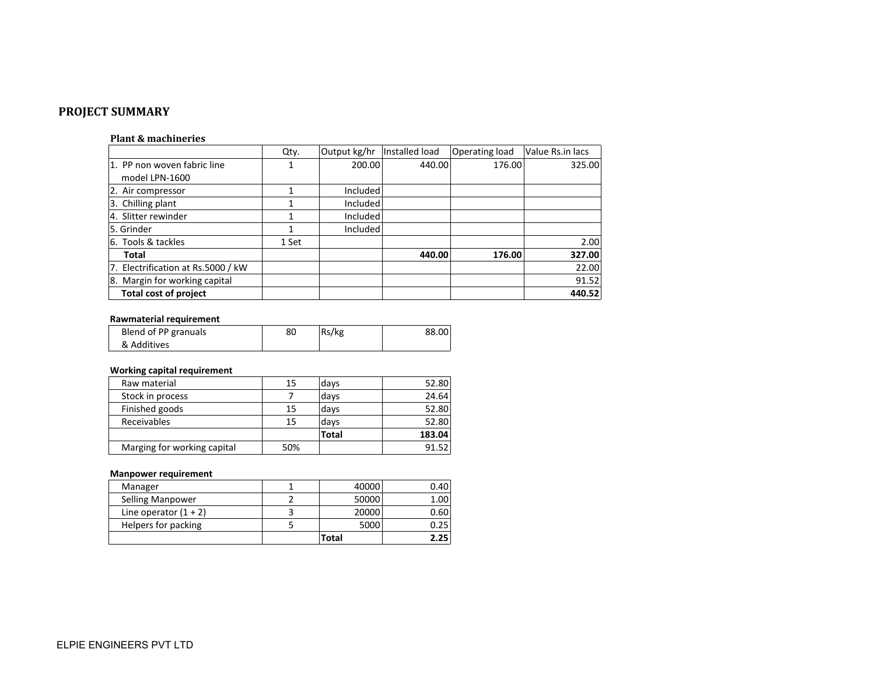# **PROJECT SUMMARY**

#### **Plant & machineries**

|                                    | Qty.  | Output kg/hr | Installed load | <b>Operating load</b> | Value Rs.in lacs |
|------------------------------------|-------|--------------|----------------|-----------------------|------------------|
| 1. PP non woven fabric line        |       | 200.00       | 440.00         | 176.00                | 325.00           |
| model LPN-1600                     |       |              |                |                       |                  |
| 2. Air compressor                  |       | Included     |                |                       |                  |
| 3. Chilling plant                  |       | Included     |                |                       |                  |
| 4. Slitter rewinder                |       | Included     |                |                       |                  |
| 5. Grinder                         |       | Included     |                |                       |                  |
| 6. Tools & tackles                 | 1 Set |              |                |                       | 2.00             |
| Total                              |       |              | 440.00         | 176.00                | 327.00           |
| 7. Electrification at Rs.5000 / kW |       |              |                |                       | 22.00            |
| 8. Margin for working capital      |       |              |                |                       | 91.52            |
| Total cost of project              |       |              |                |                       | 440.52           |

#### **Rawmaterial requirement**

| Blend of PP granuals | 80 | Rs/kg | 88.00 |
|----------------------|----|-------|-------|
| & Additives          |    |       |       |

# **Working capital requirement**

| Raw material                | 15  | days         | 52.80  |
|-----------------------------|-----|--------------|--------|
| Stock in process            |     | days         | 24.64  |
| Finished goods              | 15  | days         | 52.80  |
| Receivables                 | 15  | days         | 52.80  |
|                             |     | <b>Total</b> | 183.04 |
| Marging for working capital | 50% |              | 91.52  |

# **Manpower requirement**

|                         | Total | 2.25 |
|-------------------------|-------|------|
| Helpers for packing     | 5000  | 0.25 |
| Line operator $(1 + 2)$ | 20000 | 0.60 |
| Selling Manpower        | 50000 | 1.00 |
| Manager                 | 40000 | 0.40 |